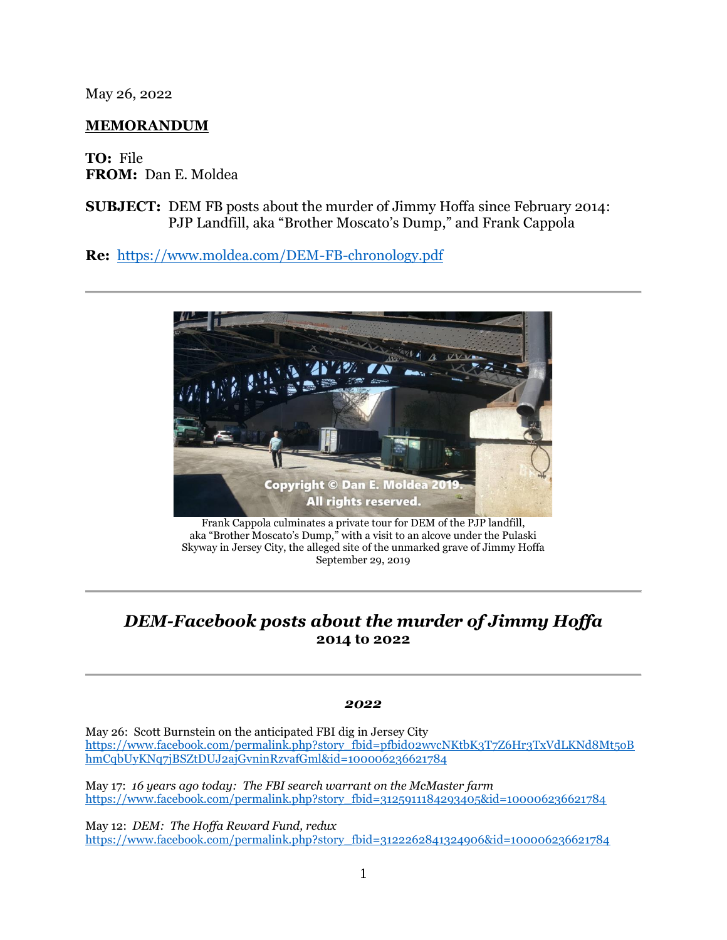May 26, 2022

## **MEMORANDUM**

**TO:** File **FROM:** Dan E. Moldea

**SUBJECT:** DEM FB posts about the murder of Jimmy Hoffa since February 2014: PJP Landfill, aka "Brother Moscato's Dump," and Frank Cappola

**Re:** <https://www.moldea.com/DEM-FB-chronology.pdf>



Frank Cappola culminates a private tour for DEM of the PJP landfill, aka "Brother Moscato's Dump," with a visit to an alcove under the Pulaski Skyway in Jersey City, the alleged site of the unmarked grave of Jimmy Hoffa September 29, 2019

# *DEM-Facebook posts about the murder of Jimmy Hoffa* **2014 to 2022**

#### *2022*

May 26: Scott Burnstein on the anticipated FBI dig in Jersey City [https://www.facebook.com/permalink.php?story\\_fbid=pfbid02wvcNKtbK3T7Z6Hr3TxVdLKNd8Mt5oB](https://www.facebook.com/permalink.php?story_fbid=pfbid02wvcNKtbK3T7Z6Hr3TxVdLKNd8Mt5oBhmCqbUyKNq7jBSZtDUJ2ajGvninRzvafGml&id=100006236621784) [hmCqbUyKNq7jBSZtDUJ2ajGvninRzvafGml&id=100006236621784](https://www.facebook.com/permalink.php?story_fbid=pfbid02wvcNKtbK3T7Z6Hr3TxVdLKNd8Mt5oBhmCqbUyKNq7jBSZtDUJ2ajGvninRzvafGml&id=100006236621784)

May 17: *16 years ago today: The FBI search warrant on the McMaster farm* [https://www.facebook.com/permalink.php?story\\_fbid=3125911184293405&id=100006236621784](https://www.facebook.com/permalink.php?story_fbid=3125911184293405&id=100006236621784)

May 12: *DEM: The Hoffa Reward Fund, redux* [https://www.facebook.com/permalink.php?story\\_fbid=3122262841324906&id=100006236621784](https://www.facebook.com/permalink.php?story_fbid=3122262841324906&id=100006236621784)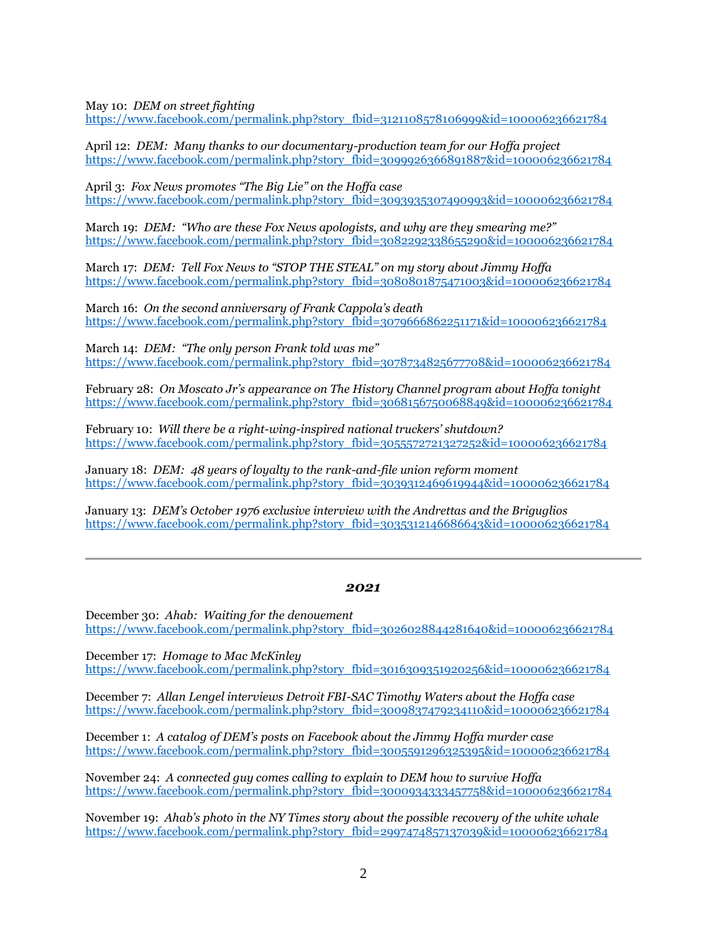May 10: *DEM on street fighting*

[https://www.facebook.com/permalink.php?story\\_fbid=3121108578106999&id=100006236621784](https://www.facebook.com/permalink.php?story_fbid=3121108578106999&id=100006236621784)

April 12: *DEM: Many thanks to our documentary-production team for our Hoffa project*  [https://www.facebook.com/permalink.php?story\\_fbid=3099926366891887&id=100006236621784](https://www.facebook.com/permalink.php?story_fbid=3099926366891887&id=100006236621784)

April 3: *Fox News promotes "The Big Lie" on the Hoffa case*  [https://www.facebook.com/permalink.php?story\\_fbid=3093935307490993&id=100006236621784](https://www.facebook.com/permalink.php?story_fbid=3093935307490993&id=100006236621784)

March 19: *DEM: "Who are these Fox News apologists, and why are they smearing me?"* [https://www.facebook.com/permalink.php?story\\_fbid=3082292338655290&id=100006236621784](https://www.facebook.com/permalink.php?story_fbid=3082292338655290&id=100006236621784)

March 17: *DEM: Tell Fox News to "STOP THE STEAL" on my story about Jimmy Hoffa*  [https://www.facebook.com/permalink.php?story\\_fbid=3080801875471003&id=100006236621784](https://www.facebook.com/permalink.php?story_fbid=3080801875471003&id=100006236621784)

March 16: *On the second anniversary of Frank Cappola's death* [https://www.facebook.com/permalink.php?story\\_fbid=3079666862251171&id=100006236621784](https://www.facebook.com/permalink.php?story_fbid=3079666862251171&id=100006236621784)

March 14: *DEM: "The only person Frank told was me"* [https://www.facebook.com/permalink.php?story\\_fbid=3078734825677708&id=100006236621784](https://www.facebook.com/permalink.php?story_fbid=3078734825677708&id=100006236621784)

February 28: *On Moscato Jr's appearance on The History Channel program about Hoffa tonight* [https://www.facebook.com/permalink.php?story\\_fbid=3068156750068849&id=100006236621784](https://www.facebook.com/permalink.php?story_fbid=3068156750068849&id=100006236621784)

February 10: *Will there be a right-wing-inspired national truckers' shutdown?* [https://www.facebook.com/permalink.php?story\\_fbid=3055572721327252&id=100006236621784](https://www.facebook.com/permalink.php?story_fbid=3055572721327252&id=100006236621784)

January 18: *DEM: 48 years of loyalty to the rank-and-file union reform moment* [https://www.facebook.com/permalink.php?story\\_fbid=3039312469619944&id=100006236621784](https://www.facebook.com/permalink.php?story_fbid=3039312469619944&id=100006236621784)

January 13: *DEM's October 1976 exclusive interview with the Andrettas and the Briguglios* [https://www.facebook.com/permalink.php?story\\_fbid=3035312146686643&id=100006236621784](https://www.facebook.com/permalink.php?story_fbid=3035312146686643&id=100006236621784)

#### *2021*

December 30: *Ahab: Waiting for the denouement* [https://www.facebook.com/permalink.php?story\\_fbid=3026028844281640&id=100006236621784](https://www.facebook.com/permalink.php?story_fbid=3026028844281640&id=100006236621784)

December 17: *Homage to Mac McKinley* [https://www.facebook.com/permalink.php?story\\_fbid=3016309351920256&id=100006236621784](https://www.facebook.com/permalink.php?story_fbid=3016309351920256&id=100006236621784)

December 7: *Allan Lengel interviews Detroit FBI-SAC Timothy Waters about the Hoffa case* [https://www.facebook.com/permalink.php?story\\_fbid=3009837479234110&id=100006236621784](https://www.facebook.com/permalink.php?story_fbid=3009837479234110&id=100006236621784)

December 1: *A catalog of DEM's posts on Facebook about the Jimmy Hoffa murder case* [https://www.facebook.com/permalink.php?story\\_fbid=3005591296325395&id=100006236621784](https://www.facebook.com/permalink.php?story_fbid=3005591296325395&id=100006236621784)

November 24: *A connected guy comes calling to explain to DEM how to survive Hoffa* [https://www.facebook.com/permalink.php?story\\_fbid=3000934333457758&id=100006236621784](https://www.facebook.com/permalink.php?story_fbid=3000934333457758&id=100006236621784)

November 19: *Ahab's photo in the NY Times story about the possible recovery of the white whale* [https://www.facebook.com/permalink.php?story\\_fbid=2997474857137039&id=100006236621784](https://www.facebook.com/permalink.php?story_fbid=2997474857137039&id=100006236621784)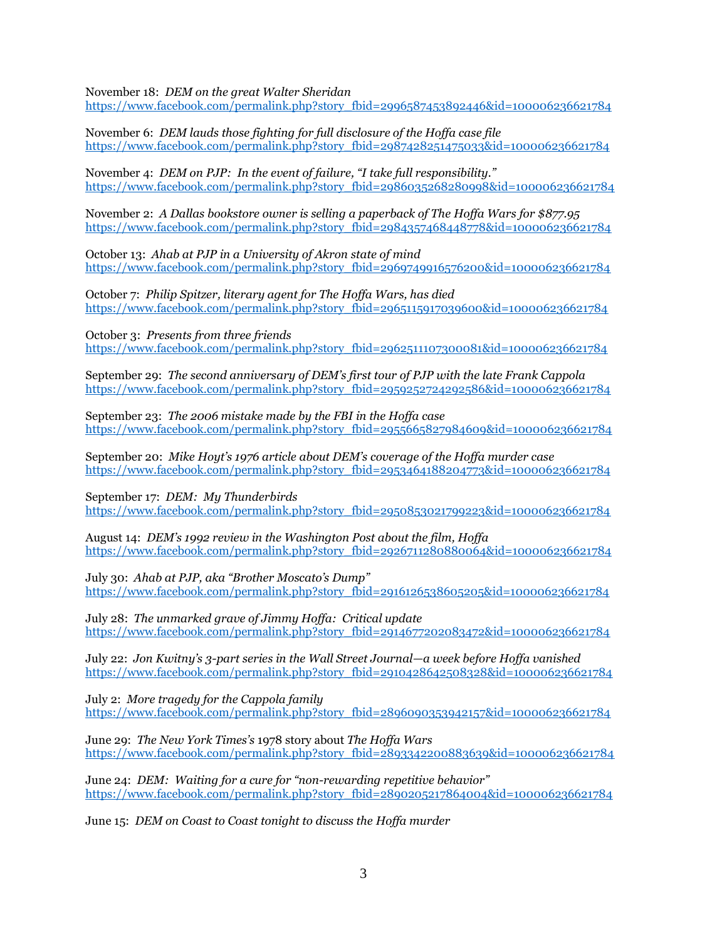November 18: *DEM on the great Walter Sheridan*

[https://www.facebook.com/permalink.php?story\\_fbid=2996587453892446&id=100006236621784](https://www.facebook.com/permalink.php?story_fbid=2996587453892446&id=100006236621784)

November 6: *DEM lauds those fighting for full disclosure of the Hoffa case file*  [https://www.facebook.com/permalink.php?story\\_fbid=2987428251475033&id=100006236621784](https://www.facebook.com/permalink.php?story_fbid=2987428251475033&id=100006236621784)

November 4: *DEM on PJP: In the event of failure, "I take full responsibility."* [https://www.facebook.com/permalink.php?story\\_fbid=2986035268280998&id=100006236621784](https://www.facebook.com/permalink.php?story_fbid=2986035268280998&id=100006236621784)

November 2: *A Dallas bookstore owner is selling a paperback of The Hoffa Wars for \$877.95* [https://www.facebook.com/permalink.php?story\\_fbid=2984357468448778&id=100006236621784](https://www.facebook.com/permalink.php?story_fbid=2984357468448778&id=100006236621784)

October 13: *Ahab at PJP in a University of Akron state of mind* [https://www.facebook.com/permalink.php?story\\_fbid=2969749916576200&id=100006236621784](https://www.facebook.com/permalink.php?story_fbid=2969749916576200&id=100006236621784)

October 7: *Philip Spitzer, literary agent for The Hoffa Wars, has died* [https://www.facebook.com/permalink.php?story\\_fbid=2965115917039600&id=100006236621784](https://www.facebook.com/permalink.php?story_fbid=2965115917039600&id=100006236621784)

October 3: *Presents from three friends* [https://www.facebook.com/permalink.php?story\\_fbid=2962511107300081&id=100006236621784](https://www.facebook.com/permalink.php?story_fbid=2962511107300081&id=100006236621784)

September 29: *The second anniversary of DEM's first tour of PJP with the late Frank Cappola* [https://www.facebook.com/permalink.php?story\\_fbid=2959252724292586&id=100006236621784](https://www.facebook.com/permalink.php?story_fbid=2959252724292586&id=100006236621784)

September 23: *The 2006 mistake made by the FBI in the Hoffa case* [https://www.facebook.com/permalink.php?story\\_fbid=2955665827984609&id=100006236621784](https://www.facebook.com/permalink.php?story_fbid=2955665827984609&id=100006236621784)

September 20: *Mike Hoyt's 1976 article about DEM's coverage of the Hoffa murder case* [https://www.facebook.com/permalink.php?story\\_fbid=2953464188204773&id=100006236621784](https://www.facebook.com/permalink.php?story_fbid=2953464188204773&id=100006236621784)

September 17: *DEM: My Thunderbirds* [https://www.facebook.com/permalink.php?story\\_fbid=2950853021799223&id=100006236621784](https://www.facebook.com/permalink.php?story_fbid=2950853021799223&id=100006236621784)

August 14: *DEM's 1992 review in the Washington Post about the film, Hoffa* [https://www.facebook.com/permalink.php?story\\_fbid=2926711280880064&id=100006236621784](https://www.facebook.com/permalink.php?story_fbid=2926711280880064&id=100006236621784)

July 30: *Ahab at PJP, aka "Brother Moscato's Dump"* [https://www.facebook.com/permalink.php?story\\_fbid=2916126538605205&id=100006236621784](https://www.facebook.com/permalink.php?story_fbid=2916126538605205&id=100006236621784)

July 28: *The unmarked grave of Jimmy Hoffa: Critical update* [https://www.facebook.com/permalink.php?story\\_fbid=2914677202083472&id=100006236621784](https://www.facebook.com/permalink.php?story_fbid=2914677202083472&id=100006236621784)

July 22: *Jon Kwitny's 3-part series in the Wall Street Journal—a week before Hoffa vanished* [https://www.facebook.com/permalink.php?story\\_fbid=2910428642508328&id=100006236621784](https://www.facebook.com/permalink.php?story_fbid=2910428642508328&id=100006236621784)

July 2: *More tragedy for the Cappola family* [https://www.facebook.com/permalink.php?story\\_fbid=2896090353942157&id=100006236621784](https://www.facebook.com/permalink.php?story_fbid=2896090353942157&id=100006236621784)

June 29: *The New York Times's* 1978 story about *The Hoffa Wars* [https://www.facebook.com/permalink.php?story\\_fbid=2893342200883639&id=100006236621784](https://www.facebook.com/permalink.php?story_fbid=2893342200883639&id=100006236621784)

June 24: *DEM: Waiting for a cure for "non-[rewarding repetitive behavior"](https://www.facebook.com/permalink.php?story_fbid=2890205217864004&id=100006236621784)* [https://www.facebook.com/permalink.php?story\\_fbid=2890205217864004&id=100006236621784](https://www.facebook.com/permalink.php?story_fbid=2890205217864004&id=100006236621784)

June 15: *[DEM on Coast to Coast tonight to discuss the Hoffa murder](https://www.facebook.com/permalink.php?story_fbid=2883513768533149&id=100006236621784)*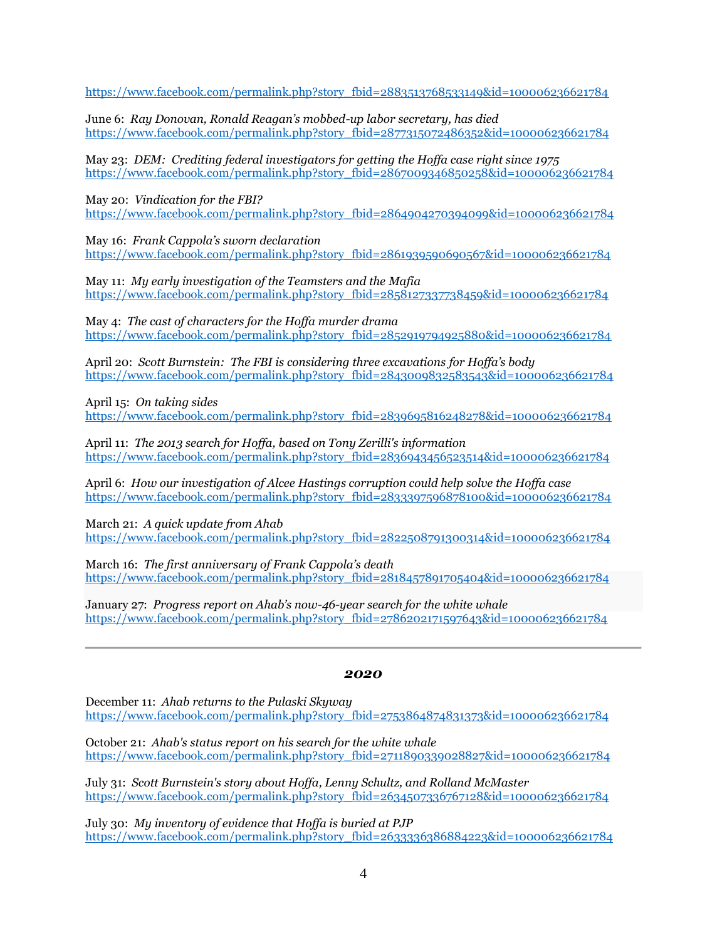[https://www.facebook.com/permalink.php?story\\_fbid=2883513768533149&id=100006236621784](https://www.facebook.com/permalink.php?story_fbid=2883513768533149&id=100006236621784)

June 6: *[Ray Donovan, Ronald Reagan's mobbed](https://www.facebook.com/permalink.php?story_fbid=2877315072486352&id=100006236621784)-up labor secretary, has died* [https://www.facebook.com/permalink.php?story\\_fbid=2877315072486352&id=100006236621784](https://www.facebook.com/permalink.php?story_fbid=2877315072486352&id=100006236621784)

May 23: *DEM: [Crediting federal investigators for getting the Hoffa case right since 1975](https://www.facebook.com/permalink.php?story_fbid=2867009346850258&id=100006236621784)* [https://www.facebook.com/permalink.php?story\\_fbid=2867009346850258&id=100006236621784](https://www.facebook.com/permalink.php?story_fbid=2867009346850258&id=100006236621784)

May 20: *[Vindication for the FBI?](https://www.facebook.com/permalink.php?story_fbid=2864904270394099&id=100006236621784)* [https://www.facebook.com/permalink.php?story\\_fbid=2864904270394099&id=100006236621784](https://www.facebook.com/permalink.php?story_fbid=2864904270394099&id=100006236621784) 

May 16: *[Frank Cappola's sworn declaration](https://www.facebook.com/permalink.php?story_fbid=2861939590690567&id=100006236621784)* [https://www.facebook.com/permalink.php?story\\_fbid=2861939590690567&id=100006236621784](https://www.facebook.com/permalink.php?story_fbid=2861939590690567&id=100006236621784)

May 11: *[My early investigation of the Teamsters and the](https://www.facebook.com/permalink.php?story_fbid=2863602377190955&id=100006236621784) Mafia* [https://www.facebook.com/permalink.php?story\\_fbid=2858127337738459&id=100006236621784](https://www.facebook.com/permalink.php?story_fbid=2858127337738459&id=100006236621784)

May 4: *[The cast of characters for the Hoffa murder drama](https://www.facebook.com/permalink.php?story_fbid=2852919794925880&id=100006236621784)* [https://www.facebook.com/permalink.php?story\\_fbid=2852919794925880&id=100006236621784](https://www.facebook.com/permalink.php?story_fbid=2852919794925880&id=100006236621784)

April 20: *Scott Burnstein: [The FBI is considering three excavations](https://www.facebook.com/permalink.php?story_fbid=2843009832583543&id=100006236621784) for Hoffa's body* [https://www.facebook.com/permalink.php?story\\_fbid=2843009832583543&id=100006236621784](https://www.facebook.com/permalink.php?story_fbid=2843009832583543&id=100006236621784)

April 15: *[On taking sides](https://www.facebook.com/permalink.php?story_fbid=2839695816248278&id=100006236621784)*

[https://www.facebook.com/permalink.php?story\\_fbid=2839695816248278&id=100006236621784](https://www.facebook.com/permalink.php?story_fbid=2839695816248278&id=100006236621784)

April 11: *[The 2013 search for Hoffa, based on Tony Zerilli's information](https://www.facebook.com/permalink.php?story_fbid=2836943456523514&id=100006236621784)* [https://www.facebook.com/permalink.php?story\\_fbid=2836943456523514&id=100006236621784](https://www.facebook.com/permalink.php?story_fbid=2836943456523514&id=100006236621784)

April 6: *[How our investigation of Alcee Hastings corruption could help solve the Hoffa case](https://www.facebook.com/permalink.php?story_fbid=2833397596878100&id=100006236621784)* [https://www.facebook.com/permalink.php?story\\_fbid=2833397596878100&id=100006236621784](https://www.facebook.com/permalink.php?story_fbid=2833397596878100&id=100006236621784)

March 21: *[A quick update from Ahab](https://www.facebook.com/permalink.php?story_fbid=2822508791300314&id=100006236621784)* [https://www.facebook.com/permalink.php?story\\_fbid=2822508791300314&id=100006236621784](https://www.facebook.com/permalink.php?story_fbid=2822508791300314&id=100006236621784)

March 16: *The first [anniversary of Frank Cappola's death](https://www.facebook.com/permalink.php?story_fbid=2818457891705404&id=100006236621784)* [https://www.facebook.com/permalink.php?story\\_fbid=2818457891705404&id=100006236621784](https://www.facebook.com/permalink.php?story_fbid=2818457891705404&id=100006236621784)

January 27: *Progress report on Ahab's now[-46-year search for the white whale](https://www.facebook.com/permalink.php?story_fbid=2786202171597643&id=100006236621784)* [https://www.facebook.com/permalink.php?story\\_fbid=2786202171597643&id=100006236621784](https://www.facebook.com/permalink.php?story_fbid=2786202171597643&id=100006236621784)

## *2020*

December 11: *[Ahab returns to the Pulaski Skyway](https://www.facebook.com/permalink.php?story_fbid=2753864874831373&id=100006236621784)* [https://www.facebook.com/permalink.php?story\\_fbid=2753864874831373&id=100006236621784](https://www.facebook.com/permalink.php?story_fbid=2753864874831373&id=100006236621784)

October 21: *[Ahab's status report on his search for the white whale](https://www.facebook.com/permalink.php?story_fbid=2711890339028827&id=100006236621784)* [https://www.facebook.com/permalink.php?story\\_fbid=2711890339028827&id=100006236621784](https://www.facebook.com/permalink.php?story_fbid=2711890339028827&id=100006236621784)

July 31: *[Scott Burnstein's story about Hoffa, Lenny Schultz, and Rolland McMaster](https://gangsterreport.com/hoffa-hysteria-how-i-teamed-with-dan-moldea-to-try-unmask-the-greatest-true-crime-mystery-ever/)* [https://www.facebook.com/permalink.php?story\\_fbid=2634507336767128&id=100006236621784](https://www.facebook.com/permalink.php?story_fbid=2634507336767128&id=100006236621784)

July 30: *[My inventory of evidence that Hoffa is buried at PJP](https://www.facebook.com/permalink.php?story_fbid=2633336386884223&id=100006236621784)* [https://www.facebook.com/permalink.php?story\\_fbid=2633336386884223&id=100006236621784](https://www.facebook.com/permalink.php?story_fbid=2633336386884223&id=100006236621784)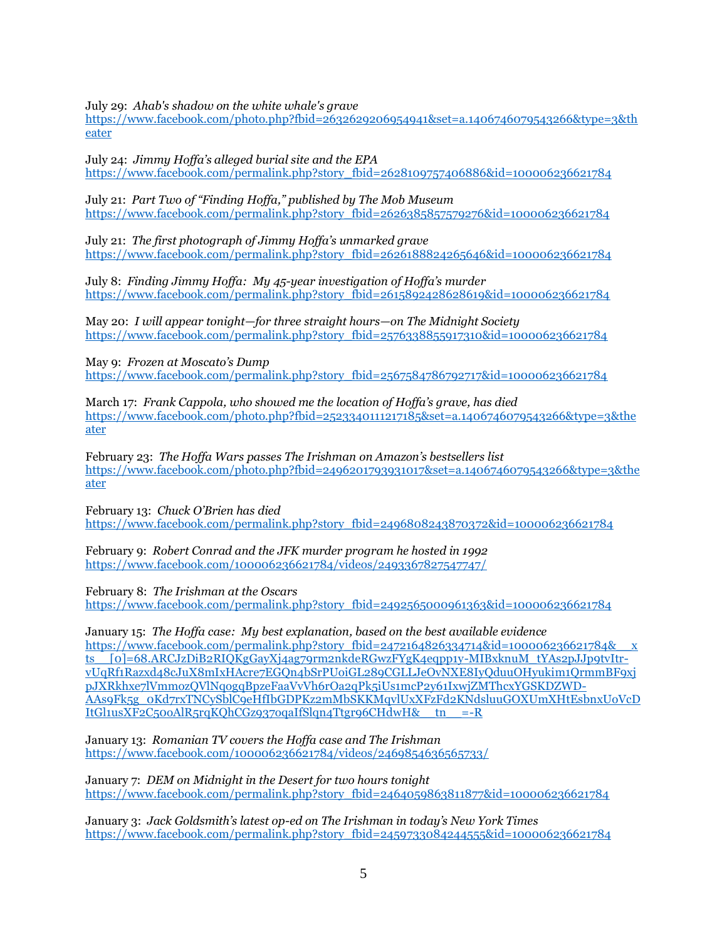July 29: *[Ahab's shadow on the white whale's grave](https://www.facebook.com/photo.php?fbid=2632629206954941&set=a.1406746079543266&type=3&theater)*

[https://www.facebook.com/photo.php?fbid=2632629206954941&set=a.1406746079543266&type=3&th](https://www.facebook.com/photo.php?fbid=2632629206954941&set=a.1406746079543266&type=3&theater) [eater](https://www.facebook.com/photo.php?fbid=2632629206954941&set=a.1406746079543266&type=3&theater)

July 24: *[Jimmy Hoffa's alleged burial site and the EPA](https://www.facebook.com/permalink.php?story_fbid=2628109757406886&id=100006236621784)* [https://www.facebook.com/permalink.php?story\\_fbid=2628109757406886&id=100006236621784](https://www.facebook.com/permalink.php?story_fbid=2628109757406886&id=100006236621784)

July 21: *[Part Two of "Finding Hoffa," published by The Mob Museum](https://www.facebook.com/permalink.php?story_fbid=2626385857579276&id=100006236621784)* [https://www.facebook.com/permalink.php?story\\_fbid=2626385857579276&id=100006236621784](https://www.facebook.com/permalink.php?story_fbid=2626385857579276&id=100006236621784)

July 21: *[The first photograph of Jimmy Hoffa's unmarked grave](https://www.facebook.com/permalink.php?story_fbid=2626188824265646&id=100006236621784)* [https://www.facebook.com/permalink.php?story\\_fbid=2626188824265646&id=100006236621784](https://www.facebook.com/permalink.php?story_fbid=2626188824265646&id=100006236621784)

July 8: *Finding Jimmy Hoffa: My 45-[year investigation of Hoffa's murde](https://www.facebook.com/permalink.php?story_fbid=2615892428628619&id=100006236621784)r* [https://www.facebook.com/permalink.php?story\\_fbid=2615892428628619&id=100006236621784](https://www.facebook.com/permalink.php?story_fbid=2615892428628619&id=100006236621784)

May 20: *I will appear tonight—for three straight hours—[on The Midnight Society](https://www.facebook.com/permalink.php?story_fbid=2576338855917310&id=100006236621784)*  [https://www.facebook.com/permalink.php?story\\_fbid=2576338855917310&id=100006236621784](https://www.facebook.com/permalink.php?story_fbid=2576338855917310&id=100006236621784)

May 9: *[Frozen at Moscato's Dump](https://www.facebook.com/permalink.php?story_fbid=2567584786792717&id=100006236621784)* [https://www.facebook.com/permalink.php?story\\_fbid=2567584786792717&id=100006236621784](https://www.facebook.com/permalink.php?story_fbid=2567584786792717&id=100006236621784)

March 17: *[Frank Cappola, who showed me the location of Hoffa's grave, has died](https://www.facebook.com/photo.php?fbid=2523340111217185&set=a.1406746079543266&type=3&theater)* [https://www.facebook.com/photo.php?fbid=2523340111217185&set=a.1406746079543266&type=3&the](https://www.facebook.com/photo.php?fbid=2523340111217185&set=a.1406746079543266&type=3&theater) [ater](https://www.facebook.com/photo.php?fbid=2523340111217185&set=a.1406746079543266&type=3&theater)

February 23: *[The Hoffa Wars](https://www.facebook.com/photo.php?fbid=2496201793931017&set=a.1406746079543266&type=3&theater) [passes The Irishman](https://www.facebook.com/photo.php?fbid=2496201793931017&set=a.1406746079543266&type=3&theater) [on Amazon's bestsellers list](https://www.facebook.com/photo.php?fbid=2496201793931017&set=a.1406746079543266&type=3&theater)* [https://www.facebook.com/photo.php?fbid=2496201793931017&set=a.1406746079543266&type=3&the](https://www.facebook.com/photo.php?fbid=2496201793931017&set=a.1406746079543266&type=3&theater) [ater](https://www.facebook.com/photo.php?fbid=2496201793931017&set=a.1406746079543266&type=3&theater)

February 13: *[Chuck O'Brien has died](https://www.facebook.com/permalink.php?story_fbid=2496808243870372&id=100006236621784)* [https://www.facebook.com/permalink.php?story\\_fbid=2496808243870372&id=100006236621784](https://www.facebook.com/permalink.php?story_fbid=2496808243870372&id=100006236621784)

February 9: *[Robert Conrad and the JFK murder program he hosted in 1992](https://www.facebook.com/100006236621784/videos/2493367827547747/)* <https://www.facebook.com/100006236621784/videos/2493367827547747/>

February 8: *[The Irishman](https://www.facebook.com/permalink.php?story_fbid=2492565000961363&id=100006236621784) [at the Oscars](https://www.facebook.com/permalink.php?story_fbid=2492565000961363&id=100006236621784)* [https://www.facebook.com/permalink.php?story\\_fbid=2492565000961363&id=100006236621784](https://www.facebook.com/permalink.php?story_fbid=2492565000961363&id=100006236621784)

January 15: *The Hoffa case: [My best explanation, based on the best available evidence](https://www.facebook.com/permalink.php?story_fbid=2472164826334714&id=100006236621784&__xts__%5b0%5d=68.ARCJzDiB2RIQKgGayXj4ag79rm2nkdeRGwzFYgK4eqpp1y-MIBxknuM_tYAs2pJJp9tvItr-vUqRf1Razxd48cJuX8mIxHAcre7EGQn4bSrPUoiGL289CGLLJeOvNXE8IyQduuOHyukim1QrmmBF9xjpJXRkhxe7lVmmozQVlNqogqBpzeFaaVvVh6rOa2qPk5iUs1mcP2y61IxwjZMThcxYGSKDZWD-AAs9Fk5g_0Kd7rxTNCySblC9eHfIbGDPKz2mMbSKKMqvlUxXFzFd2KNdsluuGOXUmXHtEsbnxUoVcDItGl1usXF2C50oAlR5rqKQhCGz937oqaIfSlqn4Ttgr96CHdwH&__tn__=-R)* [https://www.facebook.com/permalink.php?story\\_fbid=2472164826334714&id=100006236621784&\\_\\_x](https://www.facebook.com/permalink.php?story_fbid=2472164826334714&id=100006236621784&__xts__%5b0%5d=68.ARCJzDiB2RIQKgGayXj4ag79rm2nkdeRGwzFYgK4eqpp1y-MIBxknuM_tYAs2pJJp9tvItr-vUqRf1Razxd48cJuX8mIxHAcre7EGQn4bSrPUoiGL289CGLLJeOvNXE8IyQduuOHyukim1QrmmBF9xjpJXRkhxe7lVmmozQVlNqogqBpzeFaaVvVh6rOa2qPk5iUs1mcP2y61IxwjZMThcxYGSKDZWD-AAs9Fk5g_0Kd7rxTNCySblC9eHfIbGDPKz2mMbSKKMqvlUxXFzFd2KNdsluuGOXUmXHtEsbnxUoVcDItGl1usXF2C50oAlR5rqKQhCGz937oqaIfSlqn4Ttgr96CHdwH&__tn__=-R) [ts\\_\\_\[0\]=68.ARCJzDiB2RIQKgGayXj4ag79rm2nkdeRGwzFYgK4eqpp1y-MIBxknuM\\_tYAs2pJJp9tvItr](https://www.facebook.com/permalink.php?story_fbid=2472164826334714&id=100006236621784&__xts__%5b0%5d=68.ARCJzDiB2RIQKgGayXj4ag79rm2nkdeRGwzFYgK4eqpp1y-MIBxknuM_tYAs2pJJp9tvItr-vUqRf1Razxd48cJuX8mIxHAcre7EGQn4bSrPUoiGL289CGLLJeOvNXE8IyQduuOHyukim1QrmmBF9xjpJXRkhxe7lVmmozQVlNqogqBpzeFaaVvVh6rOa2qPk5iUs1mcP2y61IxwjZMThcxYGSKDZWD-AAs9Fk5g_0Kd7rxTNCySblC9eHfIbGDPKz2mMbSKKMqvlUxXFzFd2KNdsluuGOXUmXHtEsbnxUoVcDItGl1usXF2C50oAlR5rqKQhCGz937oqaIfSlqn4Ttgr96CHdwH&__tn__=-R)[vUqRf1Razxd48cJuX8mIxHAcre7EGQn4bSrPUoiGL289CGLLJeOvNXE8IyQduuOHyukim1QrmmBF9xj](https://www.facebook.com/permalink.php?story_fbid=2472164826334714&id=100006236621784&__xts__%5b0%5d=68.ARCJzDiB2RIQKgGayXj4ag79rm2nkdeRGwzFYgK4eqpp1y-MIBxknuM_tYAs2pJJp9tvItr-vUqRf1Razxd48cJuX8mIxHAcre7EGQn4bSrPUoiGL289CGLLJeOvNXE8IyQduuOHyukim1QrmmBF9xjpJXRkhxe7lVmmozQVlNqogqBpzeFaaVvVh6rOa2qPk5iUs1mcP2y61IxwjZMThcxYGSKDZWD-AAs9Fk5g_0Kd7rxTNCySblC9eHfIbGDPKz2mMbSKKMqvlUxXFzFd2KNdsluuGOXUmXHtEsbnxUoVcDItGl1usXF2C50oAlR5rqKQhCGz937oqaIfSlqn4Ttgr96CHdwH&__tn__=-R) [pJXRkhxe7lVmmozQVlNqogqBpzeFaaVvVh6rOa2qPk5iUs1mcP2y61IxwjZMThcxYGSKDZWD-](https://www.facebook.com/permalink.php?story_fbid=2472164826334714&id=100006236621784&__xts__%5b0%5d=68.ARCJzDiB2RIQKgGayXj4ag79rm2nkdeRGwzFYgK4eqpp1y-MIBxknuM_tYAs2pJJp9tvItr-vUqRf1Razxd48cJuX8mIxHAcre7EGQn4bSrPUoiGL289CGLLJeOvNXE8IyQduuOHyukim1QrmmBF9xjpJXRkhxe7lVmmozQVlNqogqBpzeFaaVvVh6rOa2qPk5iUs1mcP2y61IxwjZMThcxYGSKDZWD-AAs9Fk5g_0Kd7rxTNCySblC9eHfIbGDPKz2mMbSKKMqvlUxXFzFd2KNdsluuGOXUmXHtEsbnxUoVcDItGl1usXF2C50oAlR5rqKQhCGz937oqaIfSlqn4Ttgr96CHdwH&__tn__=-R)[AAs9Fk5g\\_0Kd7rxTNCySblC9eHfIbGDPKz2mMbSKKMqvlUxXFzFd2KNdsluuGOXUmXHtEsbnxUoVcD](https://www.facebook.com/permalink.php?story_fbid=2472164826334714&id=100006236621784&__xts__%5b0%5d=68.ARCJzDiB2RIQKgGayXj4ag79rm2nkdeRGwzFYgK4eqpp1y-MIBxknuM_tYAs2pJJp9tvItr-vUqRf1Razxd48cJuX8mIxHAcre7EGQn4bSrPUoiGL289CGLLJeOvNXE8IyQduuOHyukim1QrmmBF9xjpJXRkhxe7lVmmozQVlNqogqBpzeFaaVvVh6rOa2qPk5iUs1mcP2y61IxwjZMThcxYGSKDZWD-AAs9Fk5g_0Kd7rxTNCySblC9eHfIbGDPKz2mMbSKKMqvlUxXFzFd2KNdsluuGOXUmXHtEsbnxUoVcDItGl1usXF2C50oAlR5rqKQhCGz937oqaIfSlqn4Ttgr96CHdwH&__tn__=-R) ItGl1usXF2C50oAlR5rqKQhCGz937oqaIfSlqn4Ttgr96CHdwH& tn =-R

January 13: *[Romanian TV covers the Hoffa case and The Irishman](https://www.facebook.com/100006236621784/videos/2469854636565733/)*  <https://www.facebook.com/100006236621784/videos/2469854636565733/>

January 7: *[DEM on Midnight in the Desert for two hours tonight](https://www.facebook.com/permalink.php?story_fbid=2464059863811877&id=100006236621784)* [https://www.facebook.com/permalink.php?story\\_fbid=2464059863811877&id=100006236621784](https://www.facebook.com/permalink.php?story_fbid=2464059863811877&id=100006236621784)

January 3: *Jack Goldsmith's latest op-[ed on The Irishman in today's New York Times](https://www.facebook.com/permalink.php?story_fbid=2459733084244555&id=100006236621784)* [https://www.facebook.com/permalink.php?story\\_fbid=2459733084244555&id=100006236621784](https://www.facebook.com/permalink.php?story_fbid=2459733084244555&id=100006236621784)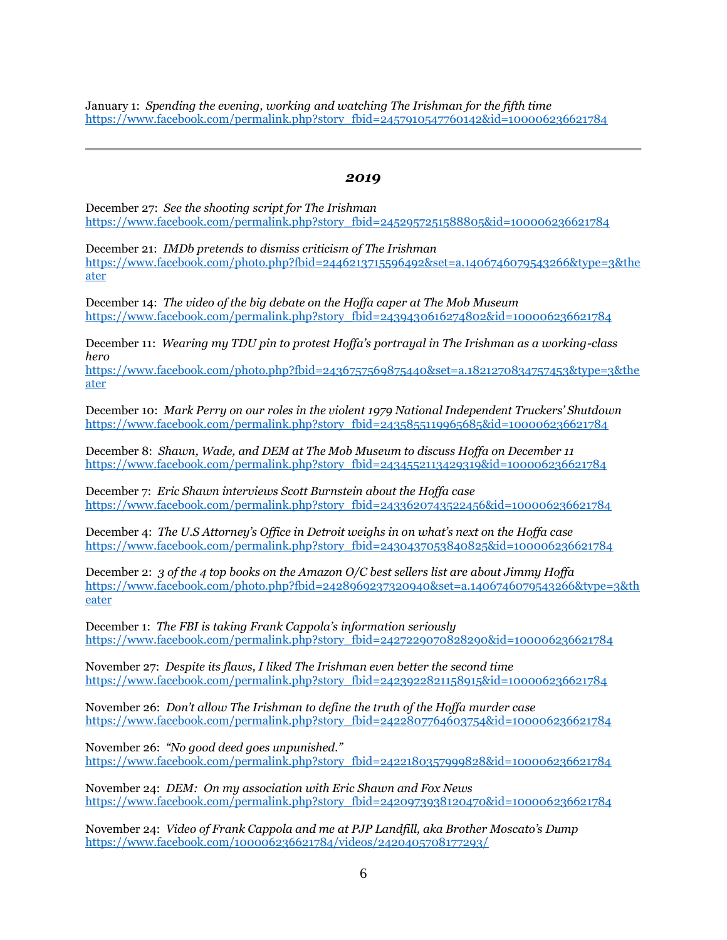January 1: *[Spending the evening, working and watching The Irishman for the fifth time](https://www.facebook.com/permalink.php?story_fbid=2457910547760142&id=100006236621784)* [https://www.facebook.com/permalink.php?story\\_fbid=2457910547760142&id=100006236621784](https://www.facebook.com/permalink.php?story_fbid=2457910547760142&id=100006236621784)

#### *2019*

December 27: *[See the shooting script for The Irishman](https://www.facebook.com/permalink.php?story_fbid=2452957251588805&id=100006236621784)* [https://www.facebook.com/permalink.php?story\\_fbid=2452957251588805&id=100006236621784](https://www.facebook.com/permalink.php?story_fbid=2452957251588805&id=100006236621784)

December 21: *[IMDb pretends to dismiss criticism of The Irishman](https://www.facebook.com/photo.php?fbid=2446213715596492&set=a.1406746079543266&type=3&theater)* [https://www.facebook.com/photo.php?fbid=2446213715596492&set=a.1406746079543266&type=3&the](https://www.facebook.com/photo.php?fbid=2446213715596492&set=a.1406746079543266&type=3&theater) [ater](https://www.facebook.com/photo.php?fbid=2446213715596492&set=a.1406746079543266&type=3&theater)

December 14: *[The video of the big debate on the Hoffa caper at The Mob Museum](https://www.facebook.com/permalink.php?story_fbid=2439430616274802&id=100006236621784)*  [https://www.facebook.com/permalink.php?story\\_fbid=2439430616274802&id=100006236621784](https://www.facebook.com/permalink.php?story_fbid=2439430616274802&id=100006236621784)

December 11: *[Wearing my TDU pin to protest Hoffa's portrayal in The Irishman as a working](https://www.facebook.com/photo.php?fbid=2436757569875440&set=a.1821270834757453&type=3&theater)-class [hero](https://www.facebook.com/photo.php?fbid=2436757569875440&set=a.1821270834757453&type=3&theater)*

[https://www.facebook.com/photo.php?fbid=2436757569875440&set=a.1821270834757453&type=3&the](https://www.facebook.com/photo.php?fbid=2436757569875440&set=a.1821270834757453&type=3&theater) [ater](https://www.facebook.com/photo.php?fbid=2436757569875440&set=a.1821270834757453&type=3&theater)

December 10: *[Mark Perry on our roles in the violent 1979 National Independent Truckers' Shutdown](https://www.facebook.com/permalink.php?story_fbid=2435855119965685&id=100006236621784)* [https://www.facebook.com/permalink.php?story\\_fbid=2435855119965685&id=100006236621784](https://www.facebook.com/permalink.php?story_fbid=2435855119965685&id=100006236621784)

December 8: *[Shawn, Wade, and DEM at The Mob Museum to discuss Hoffa on December 11](https://www.facebook.com/permalink.php?story_fbid=2434552113429319&id=100006236621784)* [https://www.facebook.com/permalink.php?story\\_fbid=2434552113429319&id=100006236621784](https://www.facebook.com/permalink.php?story_fbid=2434552113429319&id=100006236621784)

December 7: *[Eric Shawn interviews Scott Burnstein about the Hoffa case](https://www.facebook.com/permalink.php?story_fbid=2433620743522456&id=100006236621784)* [https://www.facebook.com/permalink.php?story\\_fbid=2433620743522456&id=100006236621784](https://www.facebook.com/permalink.php?story_fbid=2433620743522456&id=100006236621784)

December 4: *[The U.S Attorney's Office in Detroit weighs in on what's next on the Hoffa case](https://www.facebook.com/permalink.php?story_fbid=2430437053840825&id=100006236621784)* [https://www.facebook.com/permalink.php?story\\_fbid=2430437053840825&id=100006236621784](https://www.facebook.com/permalink.php?story_fbid=2430437053840825&id=100006236621784)

December 2: *[3 of the 4 top books on the Amazon O/C best sellers list are about Jimmy Hoffa](https://www.facebook.com/photo.php?fbid=2428969237320940&set=a.1406746079543266&type=3&theater)* [https://www.facebook.com/photo.php?fbid=2428969237320940&set=a.1406746079543266&type=3&th](https://www.facebook.com/photo.php?fbid=2428969237320940&set=a.1406746079543266&type=3&theater) [eater](https://www.facebook.com/photo.php?fbid=2428969237320940&set=a.1406746079543266&type=3&theater)

December 1: *[The FBI is taking Frank Cappola's information seriously](https://www.facebook.com/permalink.php?story_fbid=2427229070828290&id=100006236621784)* [https://www.facebook.com/permalink.php?story\\_fbid=2427229070828290&id=100006236621784](https://www.facebook.com/permalink.php?story_fbid=2427229070828290&id=100006236621784)

November 27: *[Despite its flaws, I liked The Irishman](https://www.facebook.com/permalink.php?story_fbid=2423922821158915&id=100006236621784) [even better the second time](https://www.facebook.com/permalink.php?story_fbid=2423922821158915&id=100006236621784)* [https://www.facebook.com/permalink.php?story\\_fbid=2423922821158915&id=100006236621784](https://www.facebook.com/permalink.php?story_fbid=2423922821158915&id=100006236621784)

November 26: *[Don't allow](https://www.facebook.com/permalink.php?story_fbid=2422807764603754&id=100006236621784) [The Irishman](https://www.facebook.com/permalink.php?story_fbid=2422807764603754&id=100006236621784) [to define the truth of the Hoffa murder case](https://www.facebook.com/permalink.php?story_fbid=2422807764603754&id=100006236621784)* [https://www.facebook.com/permalink.php?story\\_fbid=2422807764603754&id=100006236621784](https://www.facebook.com/permalink.php?story_fbid=2422807764603754&id=100006236621784)

November 26: *["No good deed goes unpunished."](https://www.facebook.com/permalink.php?story_fbid=2422180357999828&id=100006236621784)*  [https://www.facebook.com/permalink.php?story\\_fbid=2422180357999828&id=100006236621784](https://www.facebook.com/permalink.php?story_fbid=2422180357999828&id=100006236621784)

November 24: *[DEM: On my association with Eric Shawn and Fox News](https://www.facebook.com/permalink.php?story_fbid=2420973938120470&id=100006236621784)* [https://www.facebook.com/permalink.php?story\\_fbid=2420973938120470&id=100006236621784](https://www.facebook.com/permalink.php?story_fbid=2420973938120470&id=100006236621784)

November 24: *[Video of Frank Cappola and me at PJP Landfill, aka Brother Moscato's Dump](https://www.facebook.com/100006236621784/videos/2420405708177293/)* <https://www.facebook.com/100006236621784/videos/2420405708177293/>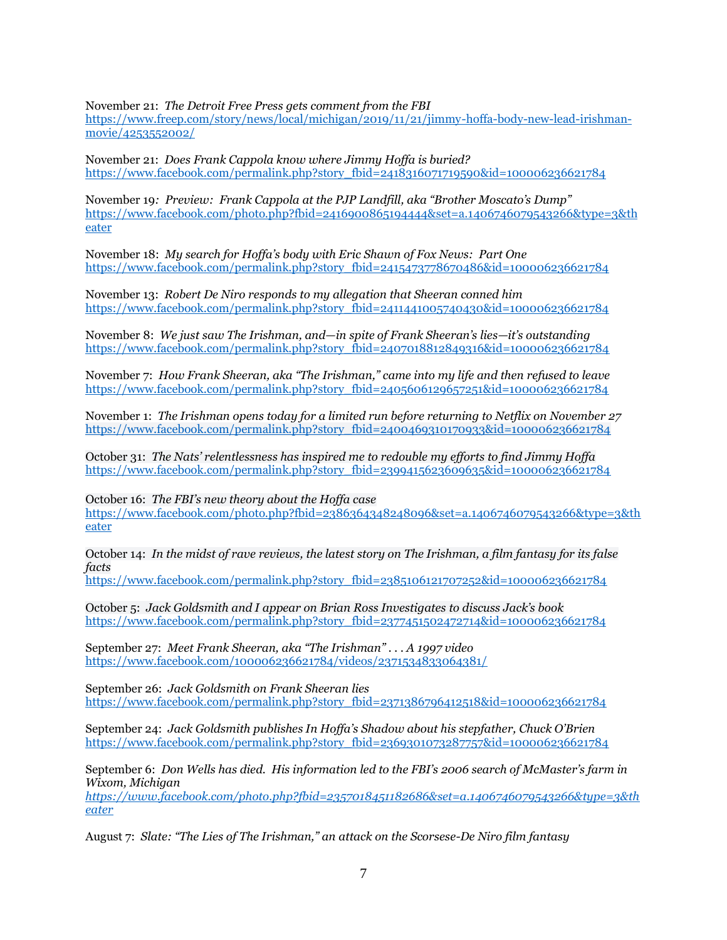November 21: *[The Detroit Free Press](https://www.freep.com/story/news/local/michigan/2019/11/21/jimmy-hoffa-body-new-lead-irishman-movie/4253552002/) [gets comment from the FBI](https://www.freep.com/story/news/local/michigan/2019/11/21/jimmy-hoffa-body-new-lead-irishman-movie/4253552002/)*  [https://www.freep.com/story/news/local/michigan/2019/11/21/jimmy-hoffa-body-new-lead-irishman](https://www.freep.com/story/news/local/michigan/2019/11/21/jimmy-hoffa-body-new-lead-irishman-movie/4253552002/)[movie/4253552002/](https://www.freep.com/story/news/local/michigan/2019/11/21/jimmy-hoffa-body-new-lead-irishman-movie/4253552002/)

November 21: *[Does Frank Cappola know where Jimmy Hoffa is buried?](https://www.facebook.com/permalink.php?story_fbid=2418316071719590&id=100006236621784)* [https://www.facebook.com/permalink.php?story\\_fbid=2418316071719590&id=100006236621784](https://www.facebook.com/permalink.php?story_fbid=2418316071719590&id=100006236621784)

November 19*: [Preview: Frank Cappola at the PJP Landfill, aka "Brother Moscato's Dump"](https://www.facebook.com/photo.php?fbid=2416900865194444&set=a.1406746079543266&type=3&theater)* [https://www.facebook.com/photo.php?fbid=2416900865194444&set=a.1406746079543266&type=3&th](https://www.facebook.com/photo.php?fbid=2416900865194444&set=a.1406746079543266&type=3&theater) [eater](https://www.facebook.com/photo.php?fbid=2416900865194444&set=a.1406746079543266&type=3&theater)

November 18: *[My search for Hoffa's body with Eric Shawn of Fox News: Part One](https://www.facebook.com/permalink.php?story_fbid=2415473778670486&id=100006236621784)* [https://www.facebook.com/permalink.php?story\\_fbid=2415473778670486&id=100006236621784](https://www.facebook.com/permalink.php?story_fbid=2415473778670486&id=100006236621784)

November 13: *[Robert De Niro responds to my allegation that Sheeran conned him](https://www.facebook.com/permalink.php?story_fbid=2411441005740430&id=100006236621784)* [https://www.facebook.com/permalink.php?story\\_fbid=2411441005740430&id=100006236621784](https://www.facebook.com/permalink.php?story_fbid=2411441005740430&id=100006236621784)

November 8: *We just saw The Irishman, and—in spite of [Frank Sheeran's lies—it's outstanding](https://www.facebook.com/permalink.php?story_fbid=2407018812849316&id=100006236621784)*  [https://www.facebook.com/permalink.php?story\\_fbid=2407018812849316&id=100006236621784](https://www.facebook.com/permalink.php?story_fbid=2407018812849316&id=100006236621784)

November 7: *[How Frank Sheeran, aka "The Irishman," came into my life and then refused to leave](https://www.facebook.com/permalink.php?story_fbid=2405606129657251&id=100006236621784)* [https://www.facebook.com/permalink.php?story\\_fbid=2405606129657251&id=100006236621784](https://www.facebook.com/permalink.php?story_fbid=2405606129657251&id=100006236621784)

November 1: *[The Irishman](https://www.facebook.com/permalink.php?story_fbid=2400469310170933&id=100006236621784) [opens today for a limited run before returning to Netflix on November 27](https://www.facebook.com/permalink.php?story_fbid=2400469310170933&id=100006236621784)* [https://www.facebook.com/permalink.php?story\\_fbid=2400469310170933&id=100006236621784](https://www.facebook.com/permalink.php?story_fbid=2400469310170933&id=100006236621784)

October 31: *[The Nats' relentlessness has inspired me to redouble my efforts to find Jimmy Hoffa](https://www.washingtonpost.com/sports/2019/10/30/world-series-nationals-astros-game-seven/)* [https://www.facebook.com/permalink.php?story\\_fbid=2399415623609635&id=100006236621784](https://www.facebook.com/permalink.php?story_fbid=2399415623609635&id=100006236621784)

October 16: *The FBI'[s new theory about the Hoffa case](https://www.facebook.com/photo.php?fbid=2386364348248096&set=a.1406746079543266&type=3&theater)*

[https://www.facebook.com/photo.php?fbid=2386364348248096&set=a.1406746079543266&type=3&th](https://www.facebook.com/photo.php?fbid=2386364348248096&set=a.1406746079543266&type=3&theater) [eater](https://www.facebook.com/photo.php?fbid=2386364348248096&set=a.1406746079543266&type=3&theater)

October 14: *[In the midst of rave reviews, the latest story on The Irishman, a film fantasy for its false](https://www.facebook.com/permalink.php?story_fbid=2385106121707252&id=100006236621784)  [facts](https://www.facebook.com/permalink.php?story_fbid=2385106121707252&id=100006236621784)*

[https://www.facebook.com/permalink.php?story\\_fbid=2385106121707252&id=100006236621784](https://www.facebook.com/permalink.php?story_fbid=2385106121707252&id=100006236621784)

October 5: *[Jack Goldsmith and I appear on Brian Ross Investigates](https://www.facebook.com/permalink.php?story_fbid=2377451502472714&id=100006236621784) [to discuss Jack's book](https://www.facebook.com/permalink.php?story_fbid=2377451502472714&id=100006236621784)* [https://www.facebook.com/permalink.php?story\\_fbid=2377451502472714&id=100006236621784](https://www.facebook.com/permalink.php?story_fbid=2377451502472714&id=100006236621784)

September 27: *[Meet Frank Sheeran, aka "The Irishman" . . . A 1997 video](https://www.facebook.com/100006236621784/videos/2371534833064381/)* <https://www.facebook.com/100006236621784/videos/2371534833064381/>

September 26: *[Jack Goldsmith on Frank Sheeran lies](https://www.facebook.com/permalink.php?story_fbid=2371386796412518&id=100006236621784)* [https://www.facebook.com/permalink.php?story\\_fbid=2371386796412518&id=100006236621784](https://www.facebook.com/permalink.php?story_fbid=2371386796412518&id=100006236621784)

September 24: *[Jack Goldsmith publishes In Hoffa's Shadow about his stepfather, Chuck O'Brien](https://www.facebook.com/permalink.php?story_fbid=2369301073287757&id=100006236621784)* [https://www.facebook.com/permalink.php?story\\_fbid=2369301073287757&id=100006236621784](https://www.facebook.com/permalink.php?story_fbid=2369301073287757&id=100006236621784)

September 6: *[Don Wells has died. His information led to the FBI's 2006 search of McMaster's farm in](https://www.facebook.com/photo.php?fbid=2357018451182686&set=a.1406746079543266&type=3&theater)  [Wixom, Michigan](https://www.facebook.com/photo.php?fbid=2357018451182686&set=a.1406746079543266&type=3&theater)*

*[https://www.facebook.com/photo.php?fbid=2357018451182686&set=a.1406746079543266&type=3&th](https://www.facebook.com/photo.php?fbid=2357018451182686&set=a.1406746079543266&type=3&theater) [eater](https://www.facebook.com/photo.php?fbid=2357018451182686&set=a.1406746079543266&type=3&theater)*

August 7: *[Slate: "The Lies of The Irishman," an attack on the Scorsese](https://www.facebook.com/permalink.php?story_fbid=2337192106498654&id=100006236621784)-De Niro film fantasy*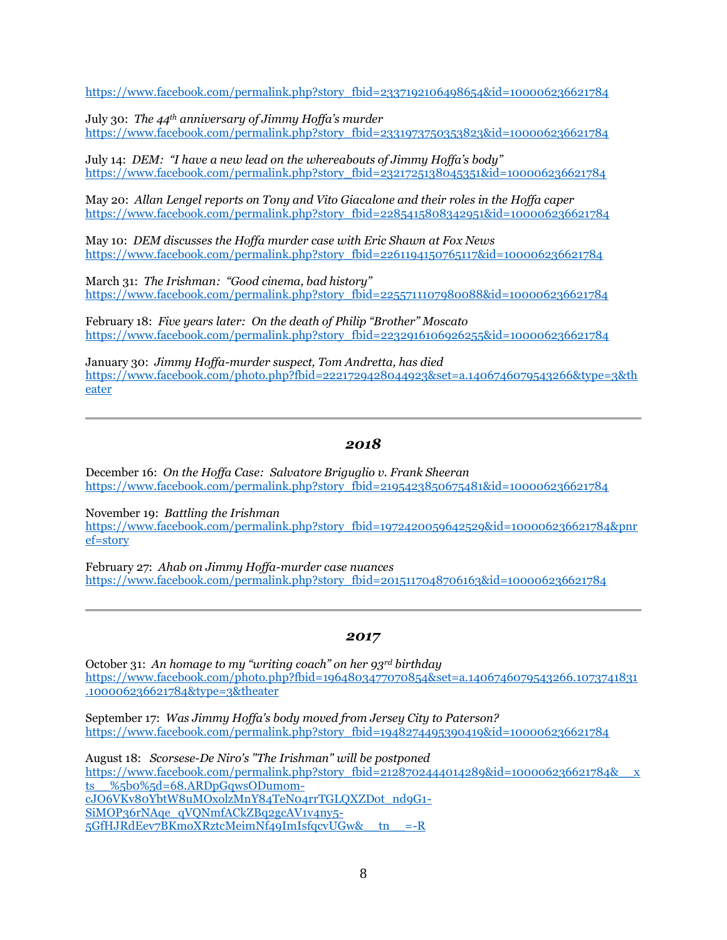[https://www.facebook.com/permalink.php?story\\_fbid=2337192106498654&id=100006236621784](https://www.facebook.com/permalink.php?story_fbid=2337192106498654&id=100006236621784)

July 30: *The 44th [anniversary of Jimmy Hoffa's murder](https://www.facebook.com/permalink.php?story_fbid=2331973750353823&id=100006236621784)*  [https://www.facebook.com/permalink.php?story\\_fbid=2331973750353823&id=100006236621784](https://www.facebook.com/permalink.php?story_fbid=2331973750353823&id=100006236621784)

July 14: *[DEM: "I have a new lead on the whereabouts of Jimmy Hoffa's body"](https://www.facebook.com/permalink.php?story_fbid=2321725138045351&id=100006236621784)* [https://www.facebook.com/permalink.php?story\\_fbid=2321725138045351&id=100006236621784](https://www.facebook.com/permalink.php?story_fbid=2321725138045351&id=100006236621784)

May 20: *[Allan Lengel reports on Tony and Vito Giacalone and their roles in the Hoffa caper](https://www.facebook.com/permalink.php?story_fbid=2285415808342951&id=100006236621784)* [https://www.facebook.com/permalink.php?story\\_fbid=2285415808342951&id=100006236621784](https://www.facebook.com/permalink.php?story_fbid=2285415808342951&id=100006236621784)

May 10: *[DEM discusses the Hoffa murder case with Eric Shawn at Fox News](https://www.facebook.com/permalink.php?story_fbid=2261194150765117&id=100006236621784)* [https://www.facebook.com/permalink.php?story\\_fbid=2261194150765117&id=100006236621784](https://www.facebook.com/permalink.php?story_fbid=2261194150765117&id=100006236621784)

March 31: *The Irishman[: "Good cinema, bad history"](https://www.facebook.com/permalink.php?story_fbid=2255711107980088&id=100006236621784)* [https://www.facebook.com/permalink.php?story\\_fbid=2255711107980088&id=100006236621784](https://www.facebook.com/permalink.php?story_fbid=2255711107980088&id=100006236621784)

February 18: *[Five years later: On the death of Philip "Brother" Moscato](https://www.facebook.com/permalink.php?story_fbid=2232916106926255&id=100006236621784)* [https://www.facebook.com/permalink.php?story\\_fbid=2232916106926255&id=100006236621784](https://www.facebook.com/permalink.php?story_fbid=2232916106926255&id=100006236621784)

January 30: *[Jimmy Hoffa-murder suspect, Tom Andretta, has died](https://www.facebook.com/photo.php?fbid=2221729428044923&set=a.1406746079543266&type=3&theater)* [https://www.facebook.com/photo.php?fbid=2221729428044923&set=a.1406746079543266&type=3&th](https://www.facebook.com/photo.php?fbid=2221729428044923&set=a.1406746079543266&type=3&theater) [eater](https://www.facebook.com/photo.php?fbid=2221729428044923&set=a.1406746079543266&type=3&theater)

## *2018*

December 16: *On the Hoffa Case: [Salvatore Briguglio v. Frank Sheeran](https://www.facebook.com/permalink.php?story_fbid=2195423850675481&id=100006236621784)* [https://www.facebook.com/permalink.php?story\\_fbid=2195423850675481&id=100006236621784](https://www.facebook.com/permalink.php?story_fbid=2195423850675481&id=100006236621784)

November 19: *[Battling the Irishman](https://www.facebook.com/permalink.php?story_fbid=1972420059642529&id=100006236621784&pnref=story)* [https://www.facebook.com/permalink.php?story\\_fbid=1972420059642529&id=100006236621784&pnr](https://www.facebook.com/permalink.php?story_fbid=1972420059642529&id=100006236621784&pnref=story) [ef=story](https://www.facebook.com/permalink.php?story_fbid=1972420059642529&id=100006236621784&pnref=story)

February 27: *[Ahab on Jimmy Hoffa-murder case nuances](https://www.facebook.com/permalink.php?story_fbid=2015117048706163&id=100006236621784)* [https://www.facebook.com/permalink.php?story\\_fbid=2015117048706163&id=100006236621784](https://www.facebook.com/permalink.php?story_fbid=2015117048706163&id=100006236621784)

## *2017*

October 31: *An homage to my "writing coach" on her 93rd birthday* [https://www.facebook.com/photo.php?fbid=1964803477070854&set=a.1406746079543266.1073741831](https://www.facebook.com/photo.php?fbid=1964803477070854&set=a.1406746079543266.1073741831.100006236621784&type=3&theater) [.100006236621784&type=3&theater](https://www.facebook.com/photo.php?fbid=1964803477070854&set=a.1406746079543266.1073741831.100006236621784&type=3&theater)

September 17: *[Was Jimmy Hoffa's body moved from Jersey City to Paterson?](https://www.facebook.com/permalink.php?story_fbid=1948274495390419&id=100006236621784)* [https://www.facebook.com/permalink.php?story\\_fbid=1948274495390419&id=100006236621784](https://www.facebook.com/permalink.php?story_fbid=1948274495390419&id=100006236621784)

August 18: *[Scorsese-De Niro's "The Irishman" will be postponed](https://www.facebook.com/permalink.php?story_fbid=2128702444014289&id=100006236621784&__xts__%5b0%5d=68.ARDpGqwsODumom-cJO6VKv80YbtW8uMOxolzMnY84TeN04rrTGLQXZDot_nd9G1-SiMOP36rNAqe_qVQNmfACkZBq2gcAV1v4ny5-5GfHJRdEev7BKmoXRztcMeimNf49ImIsfqcvUGw&__tn__=-R)* [https://www.facebook.com/permalink.php?story\\_fbid=2128702444014289&id=100006236621784&\\_\\_x](https://www.facebook.com/permalink.php?story_fbid=2128702444014289&id=100006236621784&__xts__%5b0%5d=68.ARDpGqwsODumom-cJO6VKv80YbtW8uMOxolzMnY84TeN04rrTGLQXZDot_nd9G1-SiMOP36rNAqe_qVQNmfACkZBq2gcAV1v4ny5-5GfHJRdEev7BKmoXRztcMeimNf49ImIsfqcvUGw&__tn__=-R) [ts\\_\\_%5b0%5d=68.ARDpGqwsODumom](https://www.facebook.com/permalink.php?story_fbid=2128702444014289&id=100006236621784&__xts__%5b0%5d=68.ARDpGqwsODumom-cJO6VKv80YbtW8uMOxolzMnY84TeN04rrTGLQXZDot_nd9G1-SiMOP36rNAqe_qVQNmfACkZBq2gcAV1v4ny5-5GfHJRdEev7BKmoXRztcMeimNf49ImIsfqcvUGw&__tn__=-R)[cJO6VKv80YbtW8uMOxolzMnY84TeN04rrTGLQXZDot\\_nd9G1-](https://www.facebook.com/permalink.php?story_fbid=2128702444014289&id=100006236621784&__xts__%5b0%5d=68.ARDpGqwsODumom-cJO6VKv80YbtW8uMOxolzMnY84TeN04rrTGLQXZDot_nd9G1-SiMOP36rNAqe_qVQNmfACkZBq2gcAV1v4ny5-5GfHJRdEev7BKmoXRztcMeimNf49ImIsfqcvUGw&__tn__=-R) [SiMOP36rNAqe\\_qVQNmfACkZBq2gcAV1v4ny5-](https://www.facebook.com/permalink.php?story_fbid=2128702444014289&id=100006236621784&__xts__%5b0%5d=68.ARDpGqwsODumom-cJO6VKv80YbtW8uMOxolzMnY84TeN04rrTGLQXZDot_nd9G1-SiMOP36rNAqe_qVQNmfACkZBq2gcAV1v4ny5-5GfHJRdEev7BKmoXRztcMeimNf49ImIsfqcvUGw&__tn__=-R) [5GfHJRdEev7BKmoXRztcMeimNf49ImIsfqcvUGw&\\_\\_tn\\_\\_=-R](https://www.facebook.com/permalink.php?story_fbid=2128702444014289&id=100006236621784&__xts__%5b0%5d=68.ARDpGqwsODumom-cJO6VKv80YbtW8uMOxolzMnY84TeN04rrTGLQXZDot_nd9G1-SiMOP36rNAqe_qVQNmfACkZBq2gcAV1v4ny5-5GfHJRdEev7BKmoXRztcMeimNf49ImIsfqcvUGw&__tn__=-R)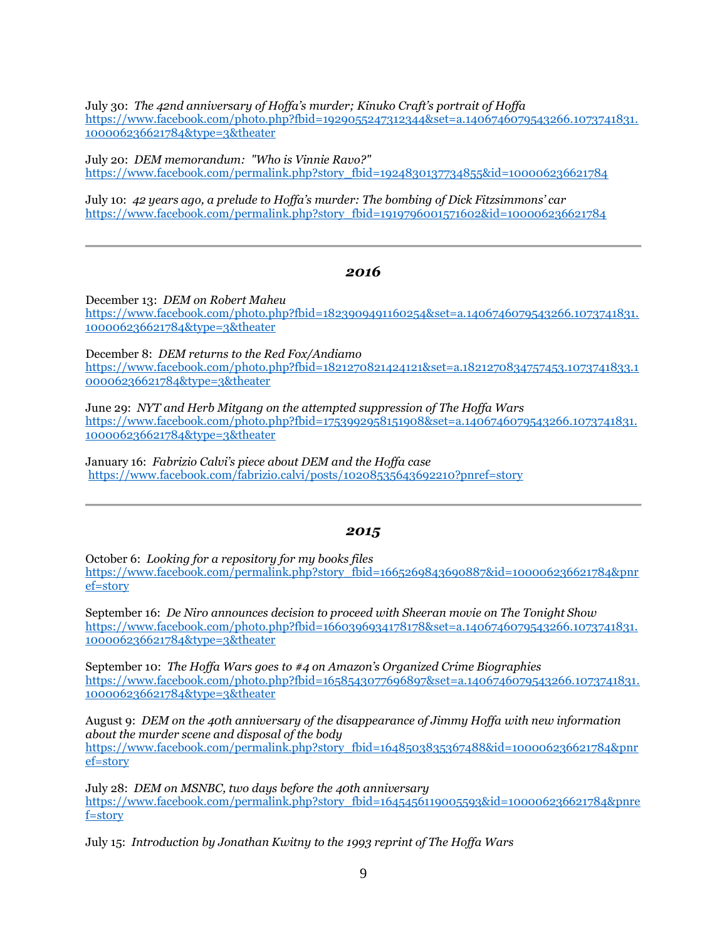July 30: *[The 42nd anniversary of Hoffa's murder; Kinuko Craft's portrait of Hoffa](https://www.facebook.com/photo.php?fbid=1929055247312344&set=a.1406746079543266.1073741831.100006236621784&type=3&theater)* [https://www.facebook.com/photo.php?fbid=1929055247312344&set=a.1406746079543266.1073741831.](https://www.facebook.com/photo.php?fbid=1929055247312344&set=a.1406746079543266.1073741831.100006236621784&type=3&theater) [100006236621784&type=3&theater](https://www.facebook.com/photo.php?fbid=1929055247312344&set=a.1406746079543266.1073741831.100006236621784&type=3&theater)

July 20: *DEM memorandum: ["Who is Vinnie Ravo?"](https://www.facebook.com/permalink.php?story_fbid=1924830137734855&id=100006236621784)* [https://www.facebook.com/permalink.php?story\\_fbid=1924830137734855&id=100006236621784](https://www.facebook.com/permalink.php?story_fbid=1924830137734855&id=100006236621784)

July 10: *[42 years ago, a prelude to Hoffa's murder: The bombing of Dick Fitzsimmons' car](https://www.facebook.com/permalink.php?story_fbid=1919796001571602&id=100006236621784)* [https://www.facebook.com/permalink.php?story\\_fbid=1919796001571602&id=100006236621784](https://www.facebook.com/permalink.php?story_fbid=1919796001571602&id=100006236621784)

#### *2016*

December 13: *[DEM on Robert Maheu](https://www.facebook.com/photo.php?fbid=1823909491160254&set=a.1406746079543266.1073741831.100006236621784&type=3&theater)* [https://www.facebook.com/photo.php?fbid=1823909491160254&set=a.1406746079543266.1073741831.](https://www.facebook.com/photo.php?fbid=1823909491160254&set=a.1406746079543266.1073741831.100006236621784&type=3&theater) [100006236621784&type=3&theater](https://www.facebook.com/photo.php?fbid=1823909491160254&set=a.1406746079543266.1073741831.100006236621784&type=3&theater)

December 8: *[DEM returns to the Red Fox/Andiamo](https://www.facebook.com/photo.php?fbid=1821270821424121&set=a.1821270834757453.1073741833.100006236621784&type=3&theater)* [https://www.facebook.com/photo.php?fbid=1821270821424121&set=a.1821270834757453.1073741833.1](https://www.facebook.com/photo.php?fbid=1821270821424121&set=a.1821270834757453.1073741833.100006236621784&type=3&theater) [00006236621784&type=3&theater](https://www.facebook.com/photo.php?fbid=1821270821424121&set=a.1821270834757453.1073741833.100006236621784&type=3&theater)

June 29: *NYT [and Herb Mitgang on the attempted suppression of The Hoffa Wars](https://www.facebook.com/photo.php?fbid=1753992958151908&set=a.1406746079543266.1073741831.100006236621784&type=3&theater)* [https://www.facebook.com/photo.php?fbid=1753992958151908&set=a.1406746079543266.1073741831.](https://www.facebook.com/photo.php?fbid=1753992958151908&set=a.1406746079543266.1073741831.100006236621784&type=3&theater) [100006236621784&type=3&theater](https://www.facebook.com/photo.php?fbid=1753992958151908&set=a.1406746079543266.1073741831.100006236621784&type=3&theater)

January 16: *[Fabrizio Calvi's piece about DEM and the Hoffa case](https://www.facebook.com/fabrizio.calvi/posts/10208535643692210?pnref=story)* <https://www.facebook.com/fabrizio.calvi/posts/10208535643692210?pnref=story>

## *2015*

October 6: *[Looking for a repository for my books files](https://www.facebook.com/permalink.php?story_fbid=1665269843690887&id=100006236621784&pnref=story)* [https://www.facebook.com/permalink.php?story\\_fbid=1665269843690887&id=100006236621784&pnr](https://www.facebook.com/permalink.php?story_fbid=1665269843690887&id=100006236621784&pnref=story) [ef=story](https://www.facebook.com/permalink.php?story_fbid=1665269843690887&id=100006236621784&pnref=story)

September 16: *[De Niro announces decision to proceed with Sheeran movie on The Tonight Show](https://www.facebook.com/photo.php?fbid=1660396934178178&set=a.1406746079543266.1073741831.100006236621784&type=3&theater)* [https://www.facebook.com/photo.php?fbid=1660396934178178&set=a.1406746079543266.1073741831.](https://www.facebook.com/photo.php?fbid=1660396934178178&set=a.1406746079543266.1073741831.100006236621784&type=3&theater) [100006236621784&type=3&theater](https://www.facebook.com/photo.php?fbid=1660396934178178&set=a.1406746079543266.1073741831.100006236621784&type=3&theater)

September 10: *The Hof[fa Wars goes to #4 on Amazon's Organized Crime Biographies](https://www.facebook.com/photo.php?fbid=1658543077696897&set=a.1406746079543266.1073741831.100006236621784&type=3&theater)* [https://www.facebook.com/photo.php?fbid=1658543077696897&set=a.1406746079543266.1073741831.](https://www.facebook.com/photo.php?fbid=1658543077696897&set=a.1406746079543266.1073741831.100006236621784&type=3&theater) [100006236621784&type=3&theater](https://www.facebook.com/photo.php?fbid=1658543077696897&set=a.1406746079543266.1073741831.100006236621784&type=3&theater)

August 9: *DEM [on the 40th anniversary of the disappearance of Jimmy Hoffa w](https://www.facebook.com/permalink.php?story_fbid=1645456119005593&id=100006236621784&pnref=story)ith new information about the murder scene and disposal of the body* [https://www.facebook.com/permalink.php?story\\_fbid=1648503835367488&id=100006236621784&pnr](https://www.facebook.com/permalink.php?story_fbid=1648503835367488&id=100006236621784&pnref=story) [ef=story](https://www.facebook.com/permalink.php?story_fbid=1648503835367488&id=100006236621784&pnref=story)

July 28: *DE[M on MSNBC,](https://www.facebook.com/permalink.php?story_fbid=1645456119005593&id=100006236621784&pnref=story) two days before the 40th anniversary* [https://www.facebook.com/permalink.php?story\\_fbid=1645456119005593&id=100006236621784&pnre](https://www.facebook.com/permalink.php?story_fbid=1645456119005593&id=100006236621784&pnref=story) [f=story](https://www.facebook.com/permalink.php?story_fbid=1645456119005593&id=100006236621784&pnref=story)

July 15: *[Introduction by Jonathan Kwitny](https://www.facebook.com/permalink.php?story_fbid=1641829276034944&id=100006236621784&pnref=story) to the 1993 reprint of The Hoffa Wars*